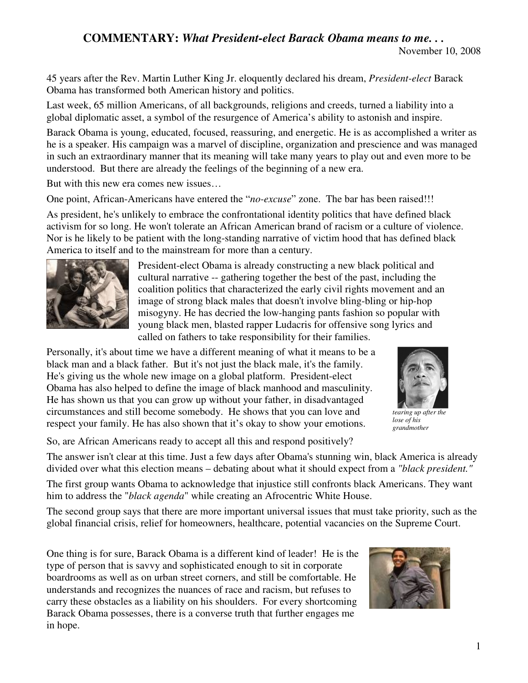## **COMMENTARY:** *What President-elect Barack Obama means to me. . .*

November 10, 2008

45 years after the Rev. Martin Luther King Jr. eloquently declared his dream, *President-elect* Barack Obama has transformed both American history and politics.

Last week, 65 million Americans, of all backgrounds, religions and creeds, turned a liability into a global diplomatic asset, a symbol of the resurgence of America's ability to astonish and inspire.

Barack Obama is young, educated, focused, reassuring, and energetic. He is as accomplished a writer as he is a speaker. His campaign was a marvel of discipline, organization and prescience and was managed in such an extraordinary manner that its meaning will take many years to play out and even more to be understood. But there are already the feelings of the beginning of a new era.

But with this new era comes new issues…

One point, African-Americans have entered the "*no-excuse*" zone. The bar has been raised!!!

As president, he's unlikely to embrace the confrontational identity politics that have defined black activism for so long. He won't tolerate an African American brand of racism or a culture of violence. Nor is he likely to be patient with the long-standing narrative of victim hood that has defined black America to itself and to the mainstream for more than a century.



President-elect Obama is already constructing a new black political and cultural narrative -- gathering together the best of the past, including the coalition politics that characterized the early civil rights movement and an image of strong black males that doesn't involve bling-bling or hip-hop misogyny. He has decried the low-hanging pants fashion so popular with young black men, blasted rapper Ludacris for offensive song lyrics and called on fathers to take responsibility for their families.

Personally, it's about time we have a different meaning of what it means to be a black man and a black father. But it's not just the black male, it's the family. He's giving us the whole new image on a global platform. President-elect Obama has also helped to define the image of black manhood and masculinity. He has shown us that you can grow up without your father, in disadvantaged circumstances and still become somebody. He shows that you can love and respect your family. He has also shown that it's okay to show your emotions.



*tearing up after the lose of his grandmother*

So, are African Americans ready to accept all this and respond positively?

The answer isn't clear at this time. Just a few days after Obama's stunning win, black America is already divided over what this election means – debating about what it should expect from a *"black president."*

The first group wants Obama to acknowledge that injustice still confronts black Americans. They want him to address the "*black agenda*" while creating an Afrocentric White House.

The second group says that there are more important universal issues that must take priority, such as the global financial crisis, relief for homeowners, healthcare, potential vacancies on the Supreme Court.

One thing is for sure, Barack Obama is a different kind of leader! He is the type of person that is savvy and sophisticated enough to sit in corporate boardrooms as well as on urban street corners, and still be comfortable. He understands and recognizes the nuances of race and racism, but refuses to carry these obstacles as a liability on his shoulders. For every shortcoming Barack Obama possesses, there is a converse truth that further engages me in hope.